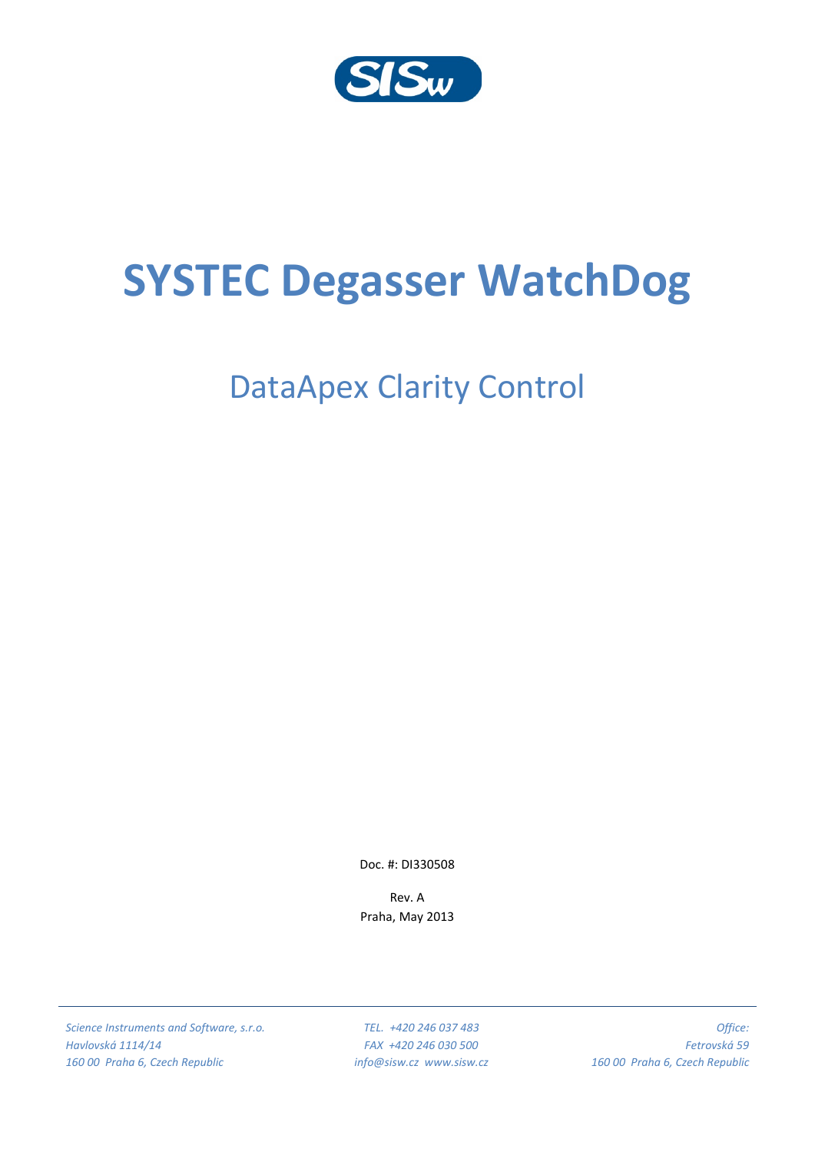

# **SYSTEC Degasser WatchDog**

# DataApex Clarity Control

Doc. #: DI330508

Rev. A Praha, May 2013

*Science Instruments and Software, s.r.o. Havlovská 1114/14 160 00 Praha 6, Czech Republic*

*TEL. +420 246 037 483 FAX +420 246 030 500 info@sisw.cz www.sisw.cz*

*Office: Fetrovská 59 160 00 Praha 6, Czech Republic*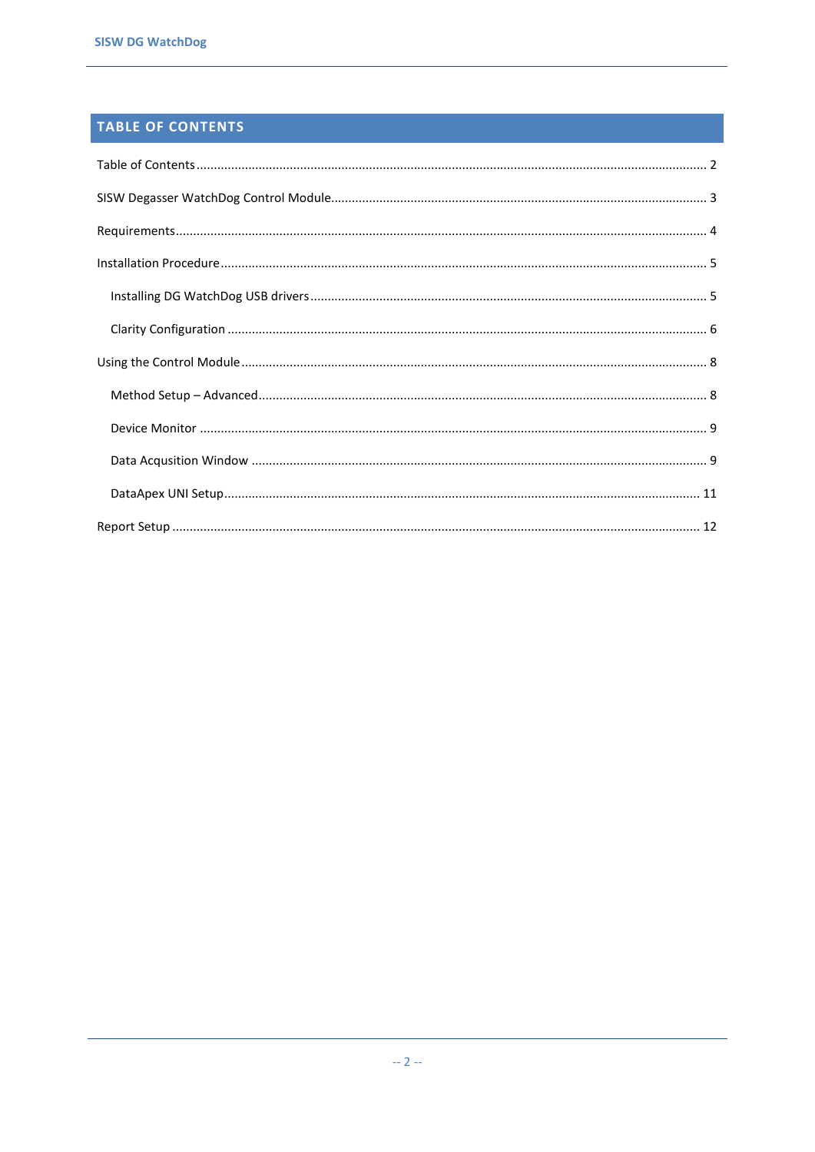# <span id="page-1-0"></span>TABLE OF CONTENTS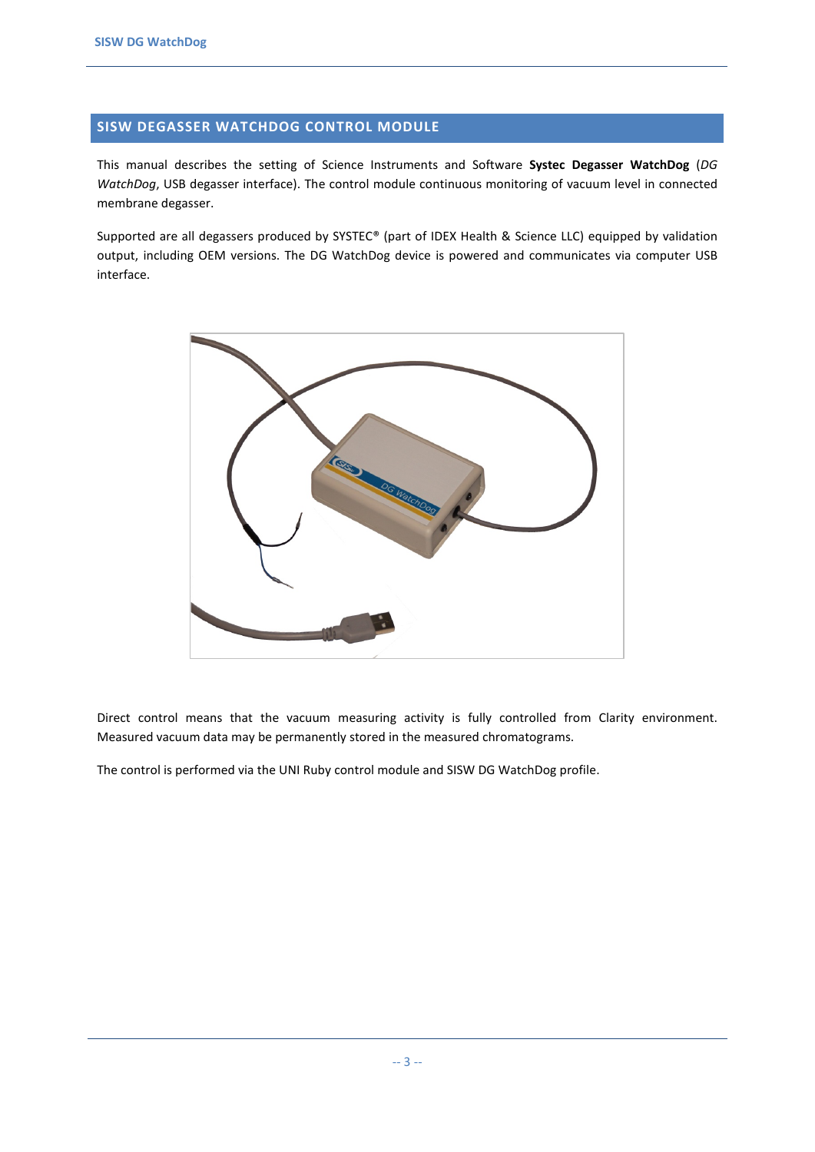#### <span id="page-2-0"></span>**SISW DEGASSER WATCHDOG CONTROL MODULE**

This manual describes the setting of Science Instruments and Software **Systec Degasser WatchDog** (*DG WatchDog*, USB degasser interface). The control module continuous monitoring of vacuum level in connected membrane degasser.

Supported are all degassers produced by SYSTEC® (part of IDEX Health & Science LLC) equipped by validation output, including OEM versions. The DG WatchDog device is powered and communicates via computer USB interface.



Direct control means that the vacuum measuring activity is fully controlled from Clarity environment. Measured vacuum data may be permanently stored in the measured chromatograms.

The control is performed via the UNI Ruby control module and SISW DG WatchDog profile.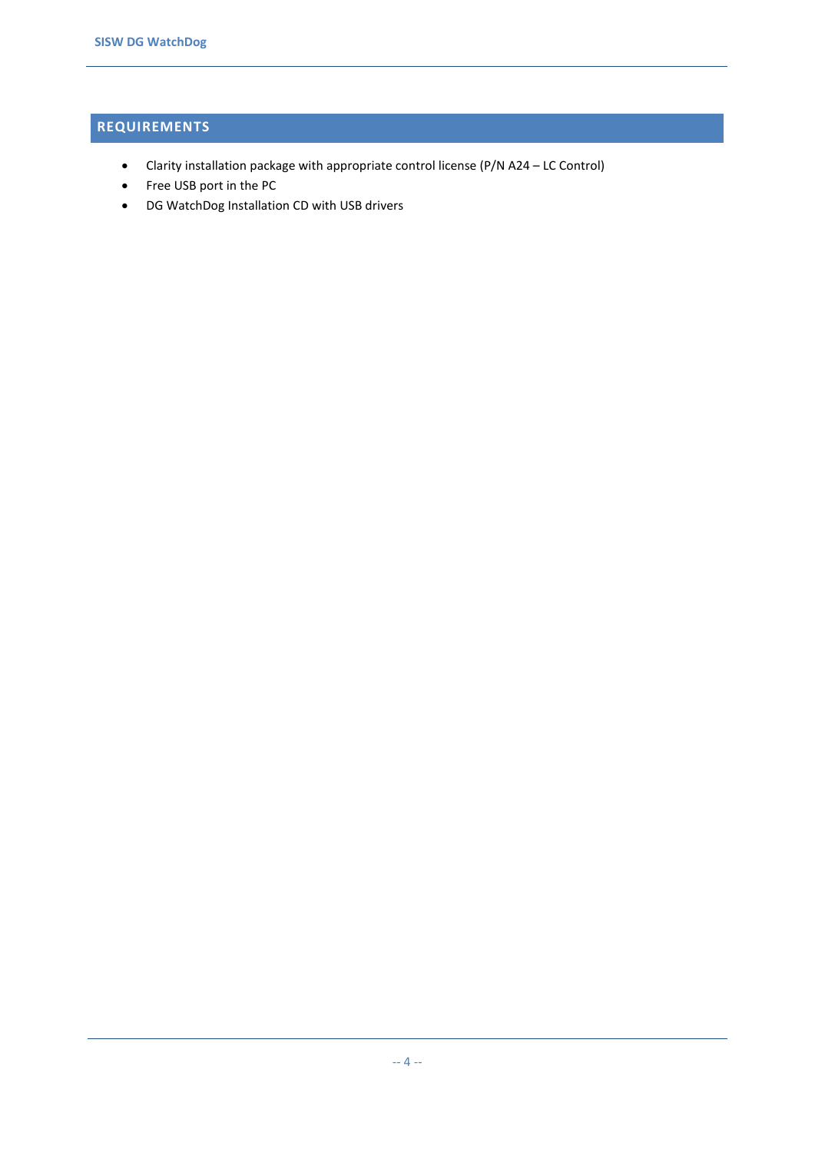# <span id="page-3-0"></span>**REQUIREMENTS**

- Clarity installation package with appropriate control license (P/N A24 LC Control)
- Free USB port in the PC
- DG WatchDog Installation CD with USB drivers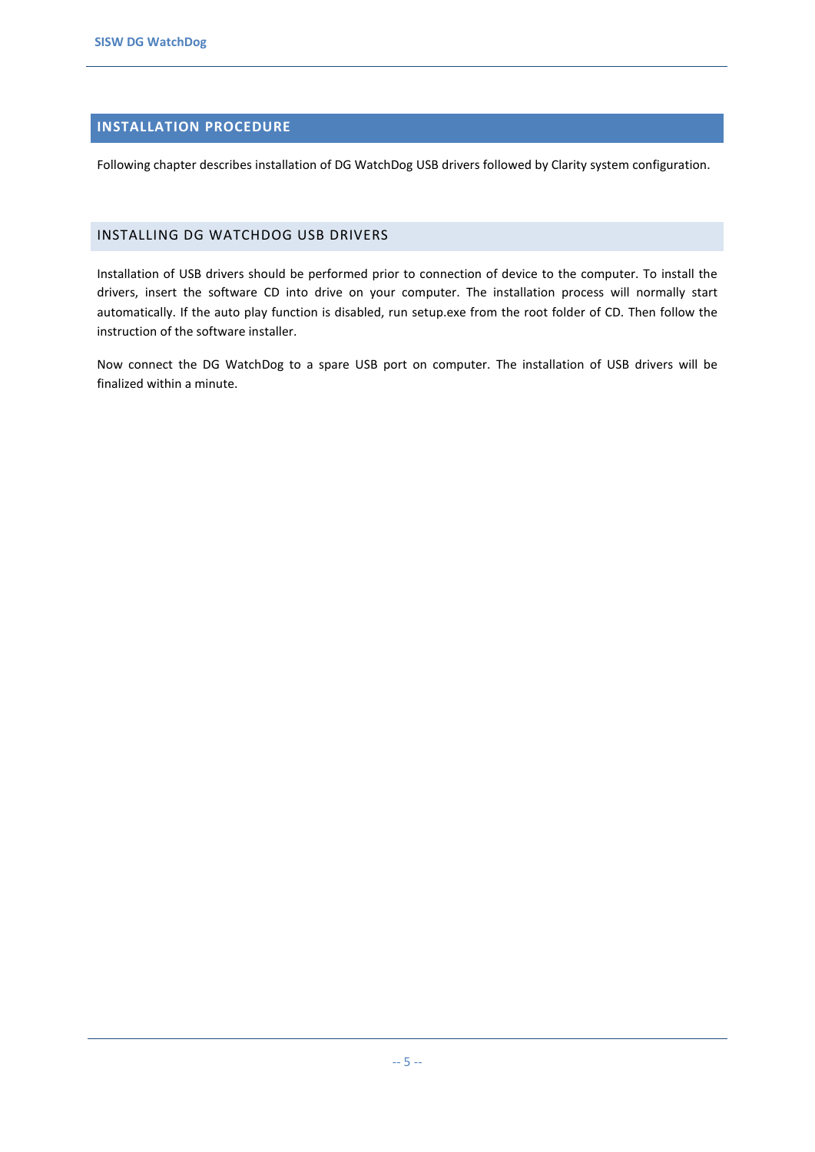## <span id="page-4-0"></span>**INSTALLATION PROCEDURE**

Following chapter describes installation of DG WatchDog USB drivers followed by Clarity system configuration.

#### <span id="page-4-1"></span>INSTALLING DG WATCHDOG USB DRIVERS

Installation of USB drivers should be performed prior to connection of device to the computer. To install the drivers, insert the software CD into drive on your computer. The installation process will normally start automatically. If the auto play function is disabled, run setup.exe from the root folder of CD. Then follow the instruction of the software installer.

Now connect the DG WatchDog to a spare USB port on computer. The installation of USB drivers will be finalized within a minute.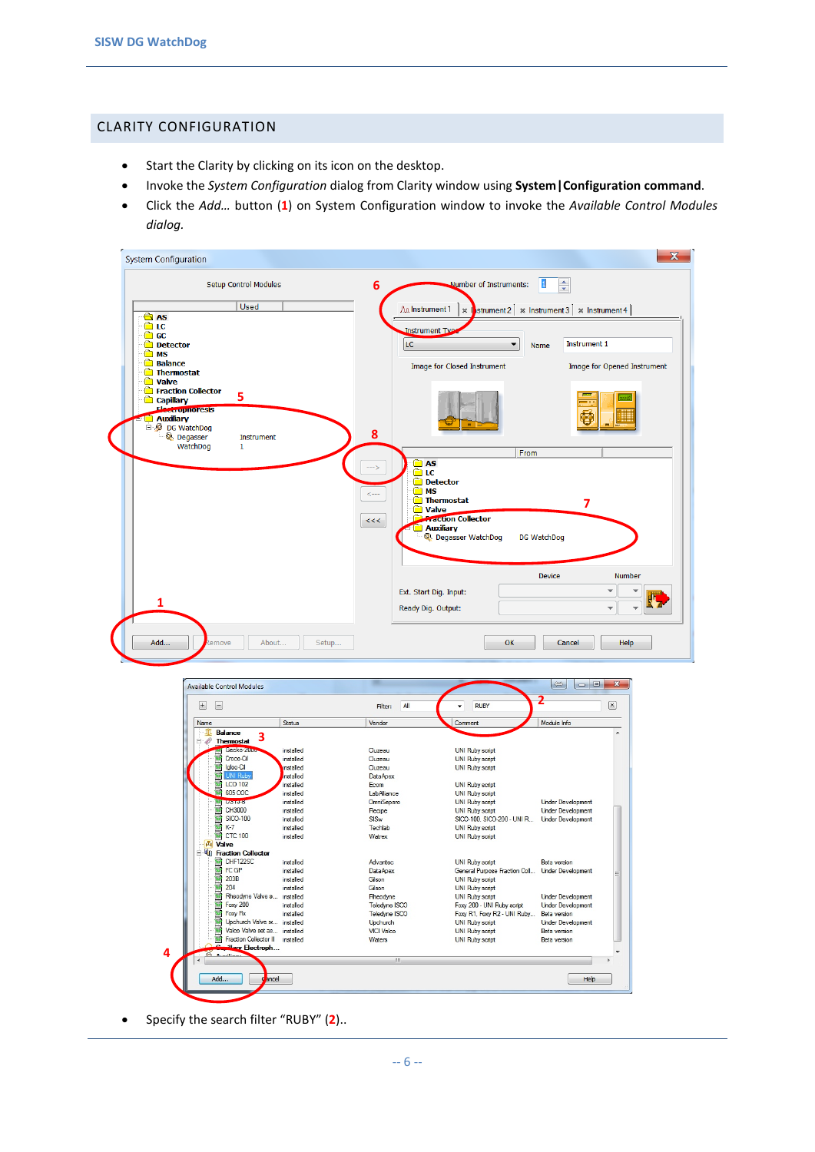#### <span id="page-5-0"></span>CLARITY CONFIGURATION

- Start the Clarity by clicking on its icon on the desktop.
- Invoke the *System Configuration* dialog from Clarity window using **System|Configuration command**.
- Click the *Add…* button (**1**) on System Configuration window to invoke the *Available Control Modules dialog.*

| <b>System Configuration</b>                                                                    | $\mathbf{x}$                                                                                                     |
|------------------------------------------------------------------------------------------------|------------------------------------------------------------------------------------------------------------------|
| <b>Setup Control Modules</b>                                                                   | $\vert 1 \vert$<br>÷<br>Number of Instruments:<br>$6\phantom{1}6$                                                |
| Used<br>$\bigcirc$ AS                                                                          | AA Instrument 1<br>$\parallel$ strument 2 $\times$ Instrument 3 $\times$ Instrument 4 $\parallel$<br>$\mathbb X$ |
| <b>∩</b> LC<br>$\Box$ GC<br><b>Detector</b><br><b>O</b> MS                                     | <b>Instrument Type</b><br>LC.<br>Instrument 1<br>▼<br>Name                                                       |
| <b>Balance</b><br><b>Thermostat</b>                                                            | Image for Opened Instrument<br>Image for Closed Instrument                                                       |
| <b>D</b> Valve<br>Fraction Collector<br>5<br>Capillary<br>Electroprioresis<br><b>Auxiliary</b> | Õ                                                                                                                |
| 白 <b>DG</b> WatchDog<br><u>ିତ୍ର Degasser</u><br>Instrument<br>WatchDog<br>$\mathbf{1}$         | 8                                                                                                                |
|                                                                                                | From<br><b>B</b> AS<br>$--$ >                                                                                    |
|                                                                                                | m LC<br>Detector<br>n MS                                                                                         |
|                                                                                                | <---<br>Thermostat<br>$\overline{7}$<br><b>Nalve</b>                                                             |
|                                                                                                | <b>Confection Collector</b><br>$\,<\,<$<br><b>Auxiliary</b>                                                      |
|                                                                                                | Q Degasser WatchDog<br>DG WatchDog                                                                               |
|                                                                                                | <b>Number</b><br><b>Device</b>                                                                                   |
|                                                                                                | Ext. Start Dig. Input:                                                                                           |
|                                                                                                | Ready Dig. Output:<br>$\overline{\mathbf{v}}$                                                                    |
| Add<br>About<br>Setup<br>lemove                                                                | OK<br>Help<br>Cancel                                                                                             |

| Name                                             | Status    | Vendor            | Comment                                         | Module Info              |
|--------------------------------------------------|-----------|-------------------|-------------------------------------------------|--------------------------|
| m<br><b>Balance</b><br>3<br>$\Box$<br>Thermostat |           |                   |                                                 |                          |
| decko-2000                                       | installed | Cluzeau           | <b>UNI Ruby script</b>                          |                          |
| Croco-Cil                                        | installed | Cluzeau           | <b>UNI Ruby script</b>                          |                          |
| Igloo-Cil                                        | installed | Cluzeau           | <b>UNI Ruby script</b>                          |                          |
| ц.<br>UNI Ruby                                   | nstalled  | <b>DataApex</b>   |                                                 |                          |
| LCO 102                                          | installed | Fcom              | <b>UNI Ruby script</b>                          |                          |
| <b>605 COC</b>                                   | installed | LabAlliance       | UNI Ruby script                                 |                          |
| <b>USTURD</b>                                    | installed | <b>OmniSeparo</b> | <b>UNI Ruby script</b>                          | <b>Under Development</b> |
| CH3000                                           | installed | Recipe            | <b>UNI Ruby script</b>                          | <b>Under Development</b> |
| t,<br>SICO-100                                   | installed | SISw              | SICO-100, SICO-200 - UNI R Under Development    |                          |
| 靍<br>$K-7$                                       | installed | Techlab           | <b>UNI Ruby script</b>                          |                          |
| BB CTC 100                                       | installed | Watrex            | <b>UNI Ruby script</b>                          |                          |
| <b>A</b> Valve                                   |           |                   |                                                 |                          |
| <b>E</b> VI Fraction Collector                   |           |                   |                                                 |                          |
| 'nи<br>CHF122SC                                  | installed | <b>Advantec</b>   | <b>UNI Ruby script</b>                          | <b>Beta</b> version      |
| 丽<br>FC GP                                       | installed | <b>DataApex</b>   | General Purpose Fraction Coll Under Development |                          |
| E.<br>203B                                       | installed | Gilson            | <b>UNI Ruby script</b>                          |                          |
| ū<br>204                                         | installed | Gilson            | <b>UNI Ruby script</b>                          |                          |
| ē<br>Rheodyne Valve si installed                 |           | Rheodyne          | <b>UNI Ruby script</b>                          | <b>Under Development</b> |
| ų,<br>Foxy 200                                   | installed | Teledyne ISCO     | Foxy 200 - UNI Ruby script                      | <b>Under Development</b> |
| Foxy Rx                                          | installed | Teledyne ISCO     | Foxy R1, Foxy R2 - UNI Ruby                     | Beta version             |
| Upchurch Valve se installed                      |           | Upchurch          | <b>UNI Ruby script</b>                          | <b>Under Development</b> |
| Valco Valve set as installed                     |           | <b>VICI Valco</b> | <b>UNI Ruby script</b>                          | <b>Beta</b> version      |
| Fraction Collector II installed                  |           | Waters            | <b>UNI Ruby script</b>                          | <b>Beta</b> version      |
| eillary Electroph<br>$2a - b - b = -$            |           |                   |                                                 |                          |
|                                                  |           | m.                |                                                 |                          |
|                                                  |           |                   |                                                 |                          |

• Specify the search filter "RUBY" (**2**)..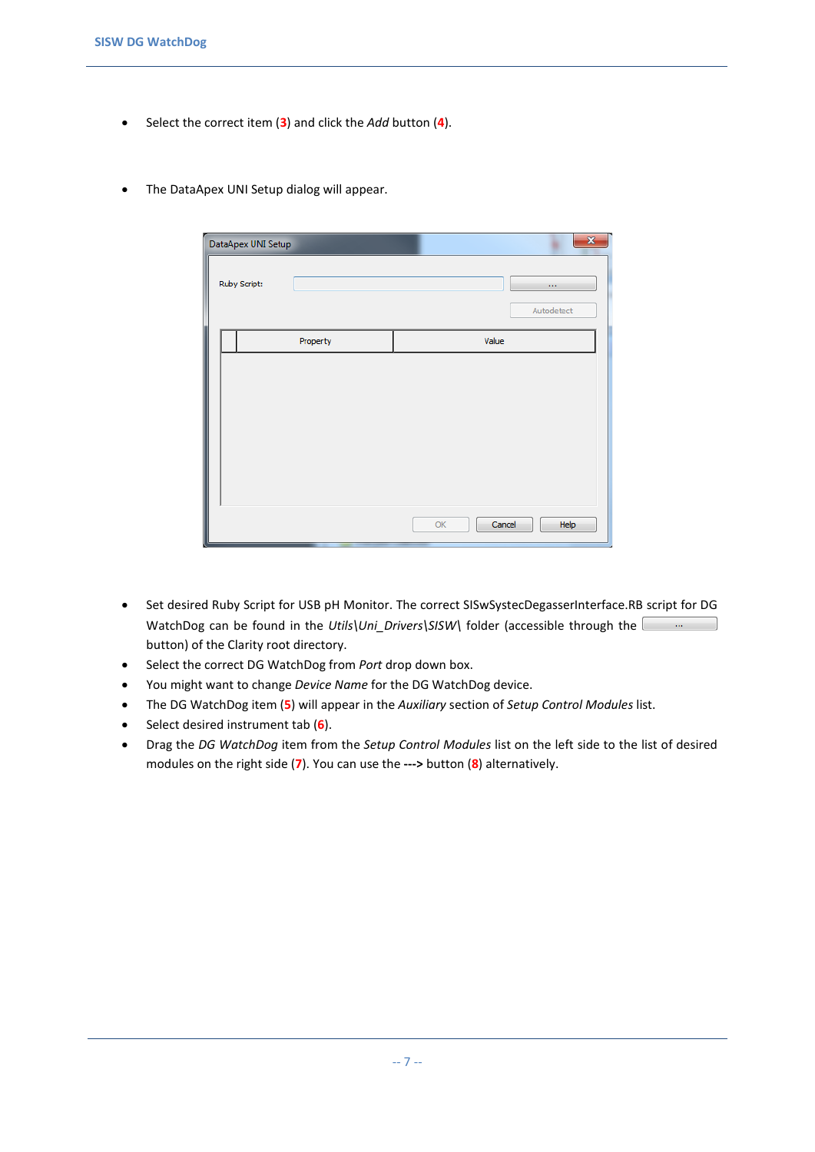- Select the correct item (**3**) and click the *Add* button (**4**).
- The DataApex UNI Setup dialog will appear.

| DataApex UNI Setup | $\mathbf{x}$                       |
|--------------------|------------------------------------|
| Ruby Script:       | $\ddot{\phantom{a}}$<br>Autodetect |
| Property           | Value                              |
|                    |                                    |
|                    | Cancel<br>Help<br>OK               |

- Set desired Ruby Script for USB pH Monitor. The correct SISwSystecDegasserInterface.RB script for DG WatchDog can be found in the *Utils\Uni Drivers\SISW\* folder (accessible through the button) of the Clarity root directory.
- Select the correct DG WatchDog from *Port* drop down box.
- You might want to change *Device Name* for the DG WatchDog device.
- The DG WatchDog item (**5**) will appear in the *Auxiliary* section of *Setup Control Modules* list.
- Select desired instrument tab (**6**).
- Drag the *DG WatchDog* item from the *Setup Control Modules* list on the left side to the list of desired modules on the right side (**7**). You can use the **--->** button (**8**) alternatively.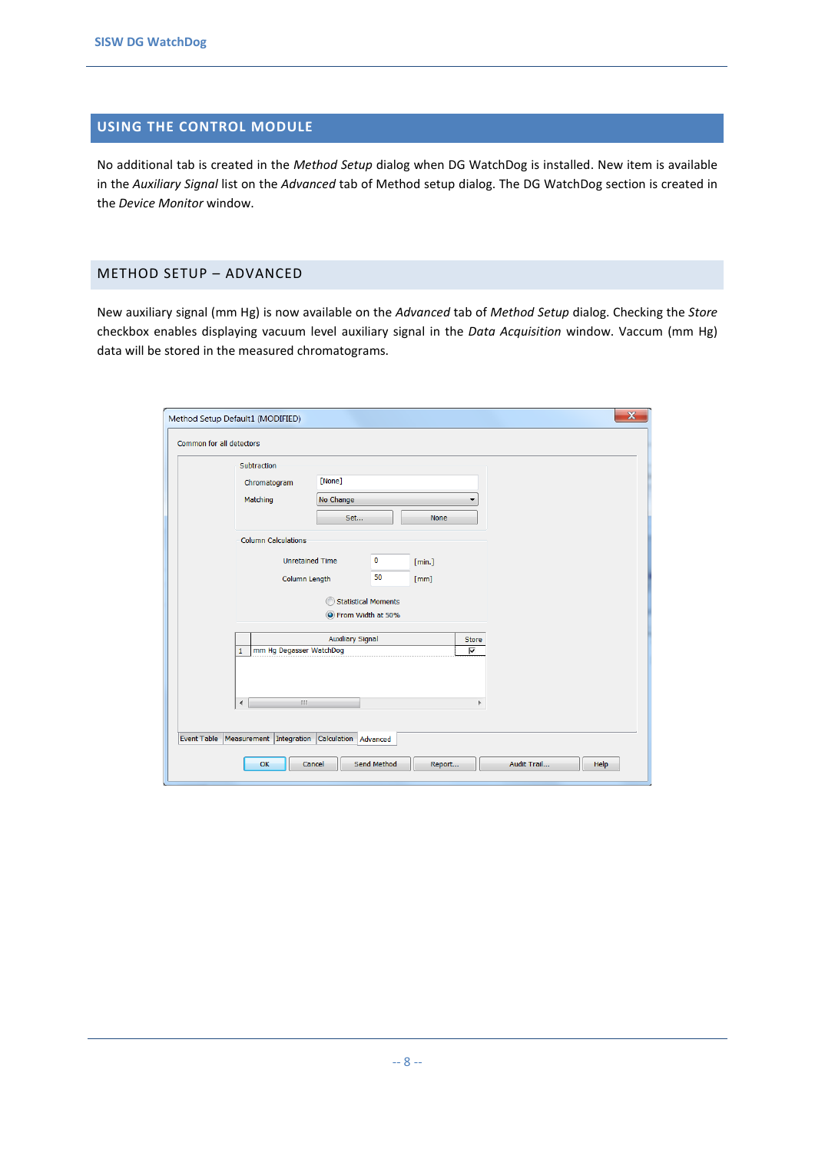### <span id="page-7-0"></span>**USING THE CONTROL MODULE**

No additional tab is created in the *Method Setup* dialog when DG WatchDog is installed. New item is available in the *Auxiliary Signal* list on the *Advanced* tab of Method setup dialog. The DG WatchDog section is created in the *Device Monitor* window.

#### <span id="page-7-1"></span>METHOD SETUP – ADVANCED

New auxiliary signal (mm Hg) is now available on the *Advanced* tab of *Method Setup* dialog. Checking the *Store* checkbox enables displaying vacuum level auxiliary signal in the *Data Acquisition* window. Vaccum (mm Hg) data will be stored in the measured chromatograms.

| Subtraction                             |                         |                            |        |       |  |  |
|-----------------------------------------|-------------------------|----------------------------|--------|-------|--|--|
| Chromatogram                            | [None]                  |                            |        |       |  |  |
| Matching                                | No Change               |                            |        |       |  |  |
|                                         | Set                     |                            | None   |       |  |  |
| <b>Column Calculations</b>              |                         |                            |        |       |  |  |
|                                         | <b>Unretained Time</b>  | 0                          | [min.] |       |  |  |
|                                         | Column Length           | 50                         | [mm]   |       |  |  |
|                                         |                         | <b>Statistical Moments</b> |        |       |  |  |
|                                         |                         | O From Width at 50%        |        |       |  |  |
|                                         | <b>Auxiliary Signal</b> |                            |        | Store |  |  |
| mm Hg Degasser WatchDog<br>$\mathbf{1}$ |                         |                            |        | ⊽     |  |  |
|                                         |                         |                            |        |       |  |  |
| $\overline{\mathcal{A}}$<br>HL.         |                         |                            |        | Þ     |  |  |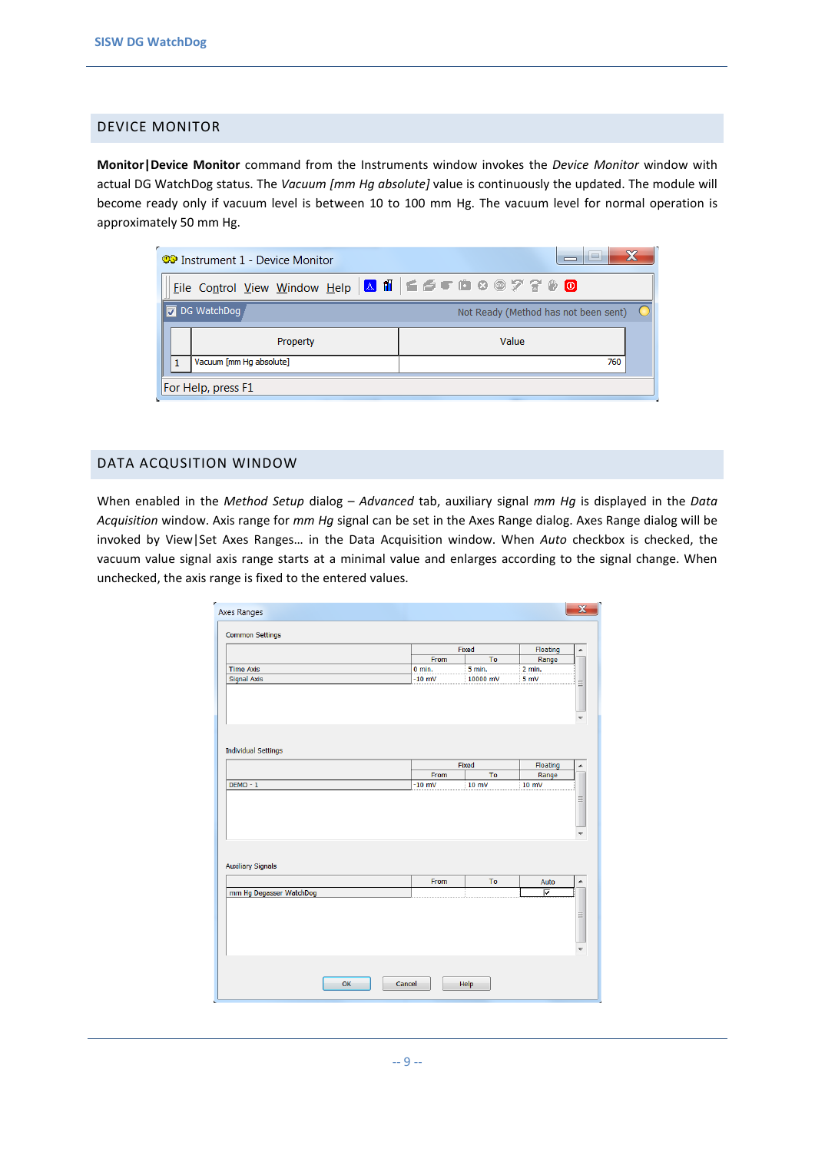#### <span id="page-8-0"></span>DEVICE MONITOR

**Monitor|Device Monitor** command from the Instruments window invokes the *Device Monitor* window with actual DG WatchDog status. The *Vacuum [mm Hg absolute]* value is continuously the updated. The module will become ready only if vacuum level is between 10 to 100 mm Hg. The vacuum level for normal operation is approximately 50 mm Hg.

| <b>CO</b> Instrument 1 - Device Monitor              | $\overline{\phantom{a}}$             |
|------------------------------------------------------|--------------------------------------|
| Eile Control View Window Help A ii E S t L & @ 7 8 0 |                                      |
| <b>I</b> oG WatchDog                                 | Not Ready (Method has not been sent) |
| Property                                             | Value                                |
| Vacuum [mm Hg absolute]                              | 760                                  |
| For Help, press F1                                   |                                      |

#### <span id="page-8-1"></span>DATA ACQUSITION WINDOW

When enabled in the *Method Setup* dialog – *Advanced* tab, auxiliary signal *mm Hg* is displayed in the *Data Acquisition* window. Axis range for *mm Hg* signal can be set in the Axes Range dialog. Axes Range dialog will be invoked by View|Set Axes Ranges… in the Data Acquisition window. When *Auto* checkbox is checked, the vacuum value signal axis range starts at a minimal value and enlarges according to the signal change. When unchecked, the axis range is fixed to the entered values.

| Axes Ranges                |          |                |          | $\mathbf x$ |
|----------------------------|----------|----------------|----------|-------------|
| <b>Common Settings</b>     |          |                |          |             |
|                            |          | Fixed          | Floating | ▲           |
|                            | From     | To             | Range    |             |
| <b>Time Axis</b>           | $0$ min. | 5 min.         | 2 min.   |             |
| <b>Signal Axis</b>         | $-10$ mV | 10000 mV       | 5 mV     | Ξ           |
|                            |          |                |          |             |
| <b>Individual Settings</b> |          | Fixed          | Floating | ۸           |
|                            | From     | T <sub>o</sub> | Range    |             |
| $DEMO - 1$                 | $-10$ mV | 10 mV          | 10 mV    |             |
| <b>Auxiliary Signals</b>   |          |                |          |             |
|                            | From     | To             | Auto     | ۸           |
| mm Hg Degasser WatchDog    |          |                | ⊽        |             |
|                            |          |                |          | Ξ           |
| OK<br>Cancel               |          | Help           |          |             |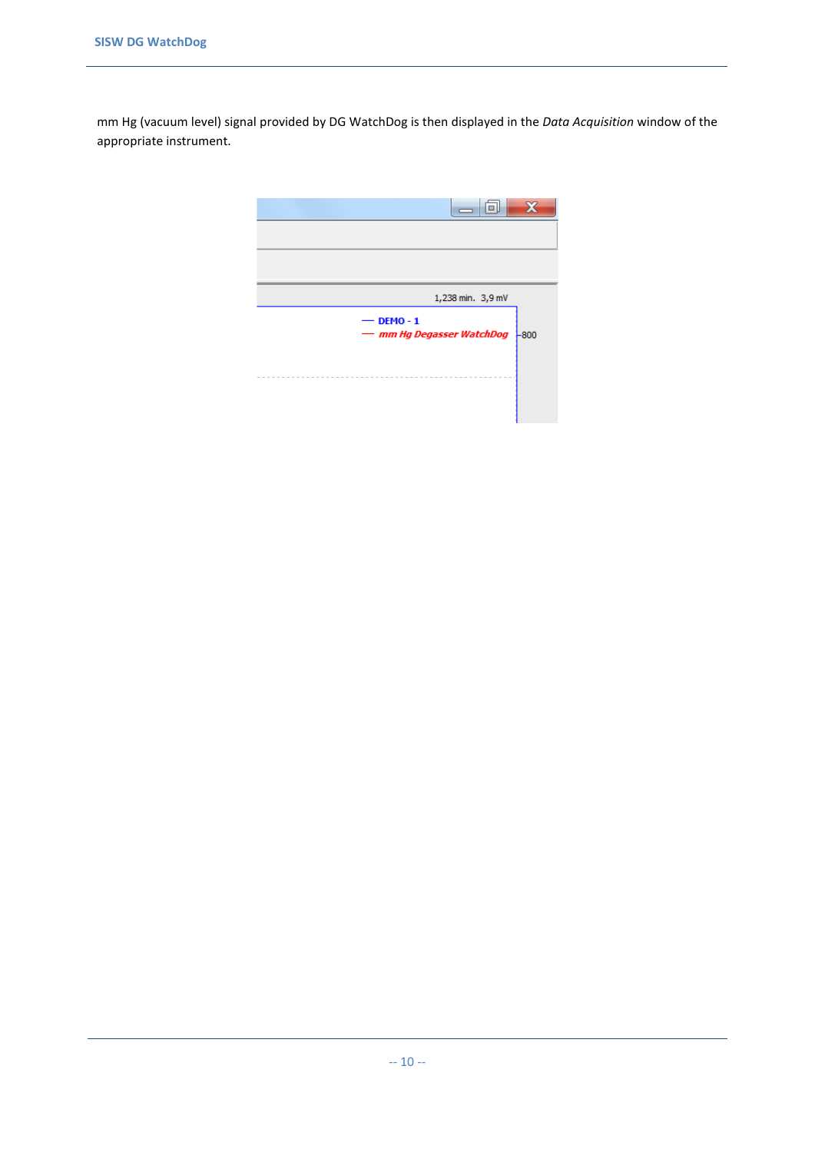mm Hg (vacuum level) signal provided by DG WatchDog is then displayed in the *Data Acquisition* window of the appropriate instrument.

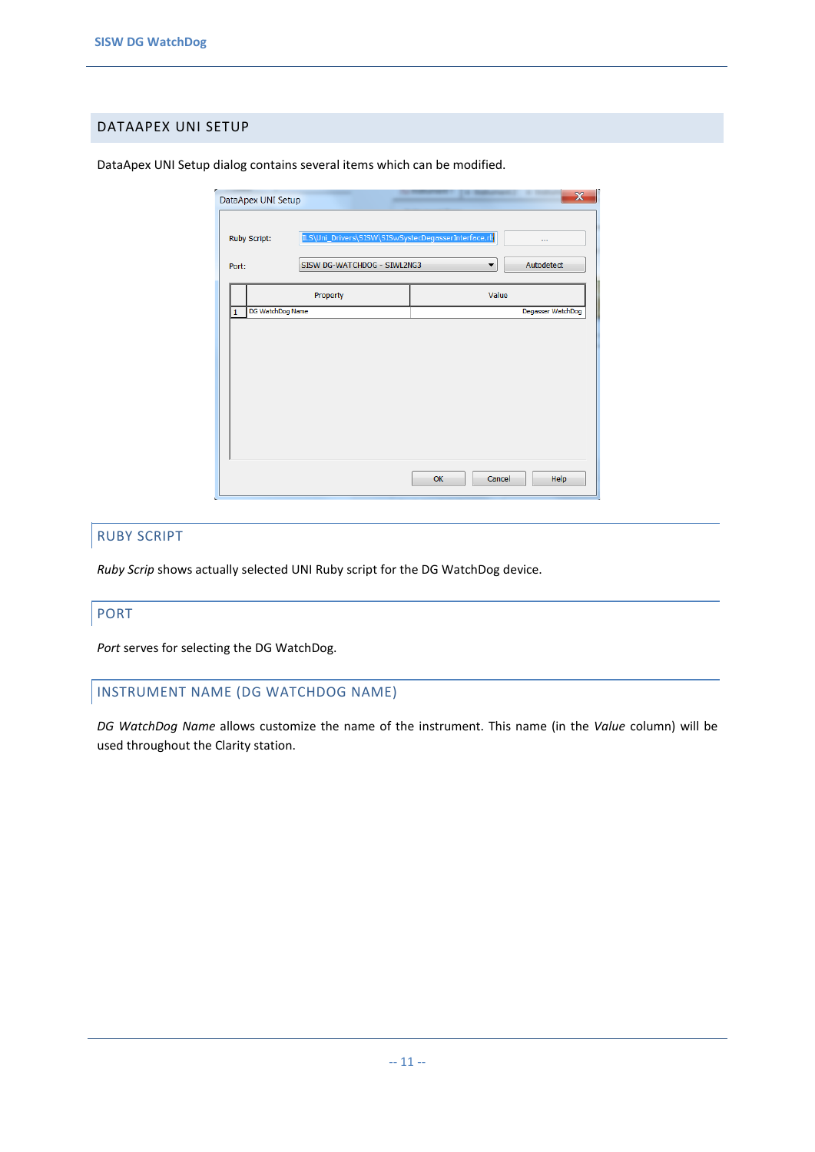#### <span id="page-10-0"></span>DATAAPEX UNI SETUP

|                       | DataApex UNI Setup                                  |       | $\overline{\mathbf{x}}$ |
|-----------------------|-----------------------------------------------------|-------|-------------------------|
| <b>Ruby Script:</b>   | ILS\Uni_Drivers\SISW\SISwSystecDegasserInterface.rb |       | $\cdots$                |
| Port:                 | SISW DG-WATCHDOG - SIWL2NG3                         | ▼     | Autodetect              |
|                       | Property                                            | Value |                         |
| DG WatchDog Name<br>1 |                                                     |       | Degasser WatchDog       |
|                       |                                                     |       |                         |
|                       |                                                     |       |                         |
|                       |                                                     |       |                         |
|                       |                                                     |       |                         |
|                       |                                                     |       |                         |
|                       |                                                     |       |                         |
|                       |                                                     |       |                         |
|                       |                                                     |       |                         |

DataApex UNI Setup dialog contains several items which can be modified.

#### RUBY SCRIPT

*Ruby Scrip* shows actually selected UNI Ruby script for the DG WatchDog device.

#### PORT

*Port* serves for selecting the DG WatchDog.

#### INSTRUMENT NAME (DG WATCHDOG NAME)

*DG WatchDog Name* allows customize the name of the instrument. This name (in the *Value* column) will be used throughout the Clarity station.